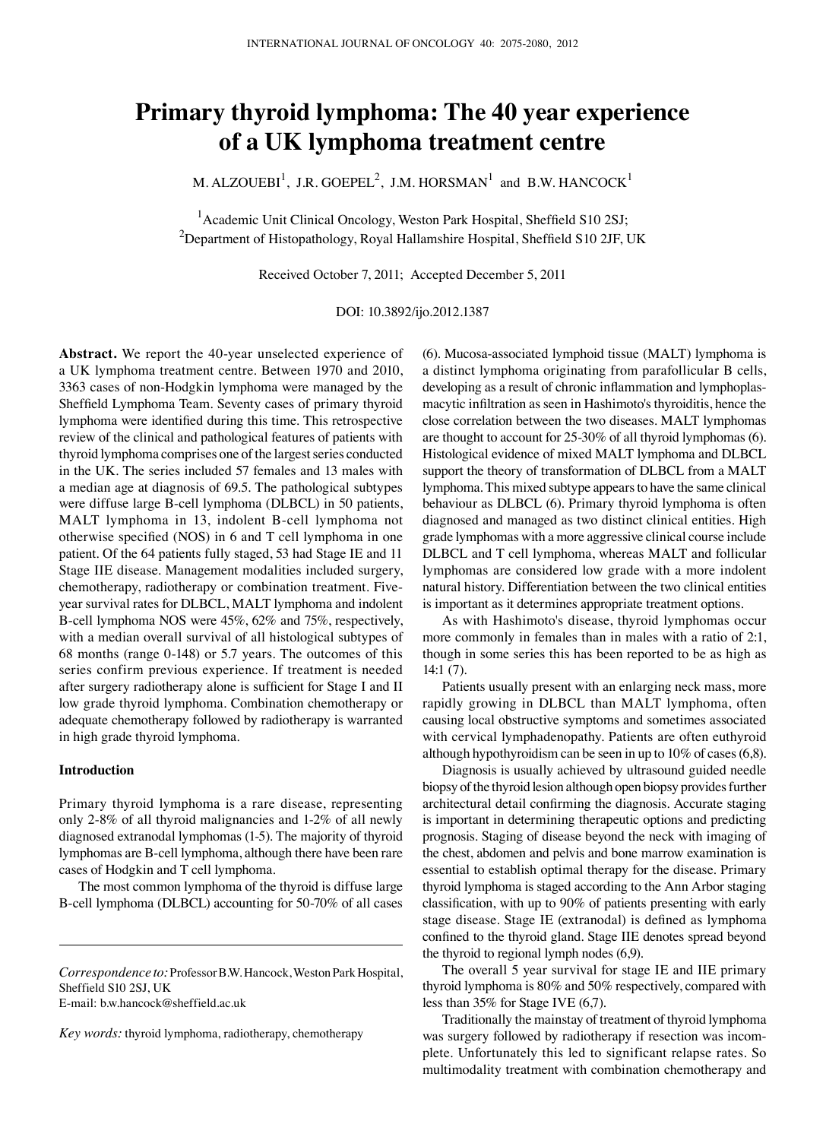# **Primary thyroid lymphoma: The 40 year experience of a UK lymphoma treatment centre**

M. ALZOUEBI $^1$ , J.R. GOEPEL<sup>2</sup>, J.M. HORSMAN<sup>1</sup> and B.W. HANCOCK<sup>1</sup>

<sup>1</sup> Academic Unit Clinical Oncology, Weston Park Hospital, Sheffield S10 2SJ;  $^2$ Department of Histopathology, Royal Hallamshire Hospital, Sheffield S10 2JF, UK

Received October 7, 2011; Accepted December 5, 2011

DOI: 10.3892/ijo.2012.1387

**Abstract.** We report the 40-year unselected experience of a UK lymphoma treatment centre. Between 1970 and 2010, 3363 cases of non-Hodgkin lymphoma were managed by the Sheffield Lymphoma Team. Seventy cases of primary thyroid lymphoma were identified during this time. This retrospective review of the clinical and pathological features of patients with thyroid lymphoma comprises one of the largest series conducted in the UK. The series included 57 females and 13 males with a median age at diagnosis of 69.5. The pathological subtypes were diffuse large B-cell lymphoma (DLBCL) in 50 patients, MALT lymphoma in 13, indolent B-cell lymphoma not otherwise specified (NOS) in 6 and T cell lymphoma in one patient. Of the 64 patients fully staged, 53 had Stage IE and 11 Stage IIE disease. Management modalities included surgery, chemotherapy, radiotherapy or combination treatment. Fiveyear survival rates for DLBCL, MALT lymphoma and indolent B-cell lymphoma NOS were 45%, 62% and 75%, respectively, with a median overall survival of all histological subtypes of 68 months (range 0-148) or 5.7 years. The outcomes of this series confirm previous experience. If treatment is needed after surgery radiotherapy alone is sufficient for Stage I and II low grade thyroid lymphoma. Combination chemotherapy or adequate chemotherapy followed by radiotherapy is warranted in high grade thyroid lymphoma.

## **Introduction**

Primary thyroid lymphoma is a rare disease, representing only 2-8% of all thyroid malignancies and 1-2% of all newly diagnosed extranodal lymphomas (1-5). The majority of thyroid lymphomas are B-cell lymphoma, although there have been rare cases of Hodgkin and T cell lymphoma.

The most common lymphoma of the thyroid is diffuse large B-cell lymphoma (DLBCL) accounting for 50-70% of all cases

E-mail: b.w.hancock@sheffield.ac.uk

*Key words:* thyroid lymphoma, radiotherapy, chemotherapy

(6). Mucosa-associated lymphoid tissue (MALT) lymphoma is a distinct lymphoma originating from parafollicular B cells, developing as a result of chronic inflammation and lymphoplasmacytic infiltration as seen in Hashimoto's thyroiditis, hence the close correlation between the two diseases. MALT lymphomas are thought to account for 25-30% of all thyroid lymphomas (6). Histological evidence of mixed MALT lymphoma and DLBCL support the theory of transformation of DLBCL from a MALT lymphoma. This mixed subtype appears to have the same clinical behaviour as DLBCL (6). Primary thyroid lymphoma is often diagnosed and managed as two distinct clinical entities. High grade lymphomas with a more aggressive clinical course include DLBCL and T cell lymphoma, whereas MALT and follicular lymphomas are considered low grade with a more indolent natural history. Differentiation between the two clinical entities is important as it determines appropriate treatment options.

As with Hashimoto's disease, thyroid lymphomas occur more commonly in females than in males with a ratio of 2:1, though in some series this has been reported to be as high as 14:1 (7).

Patients usually present with an enlarging neck mass, more rapidly growing in DLBCL than MALT lymphoma, often causing local obstructive symptoms and sometimes associated with cervical lymphadenopathy. Patients are often euthyroid although hypothyroidism can be seen in up to 10% of cases (6,8).

Diagnosis is usually achieved by ultrasound guided needle biopsy of the thyroid lesion although open biopsy provides further architectural detail confirming the diagnosis. Accurate staging is important in determining therapeutic options and predicting prognosis. Staging of disease beyond the neck with imaging of the chest, abdomen and pelvis and bone marrow examination is essential to establish optimal therapy for the disease. Primary thyroid lymphoma is staged according to the Ann Arbor staging classification, with up to 90% of patients presenting with early stage disease. Stage IE (extranodal) is defined as lymphoma confined to the thyroid gland. Stage IIE denotes spread beyond the thyroid to regional lymph nodes (6,9).

The overall 5 year survival for stage IE and IIE primary thyroid lymphoma is 80% and 50% respectively, compared with less than 35% for Stage IVE (6,7).

Traditionally the mainstay of treatment of thyroid lymphoma was surgery followed by radiotherapy if resection was incomplete. Unfortunately this led to significant relapse rates. So multimodality treatment with combination chemotherapy and

*Correspondence to:* Professor B.W. Hancock, Weston Park Hospital, Sheffield S10 2SJ, UK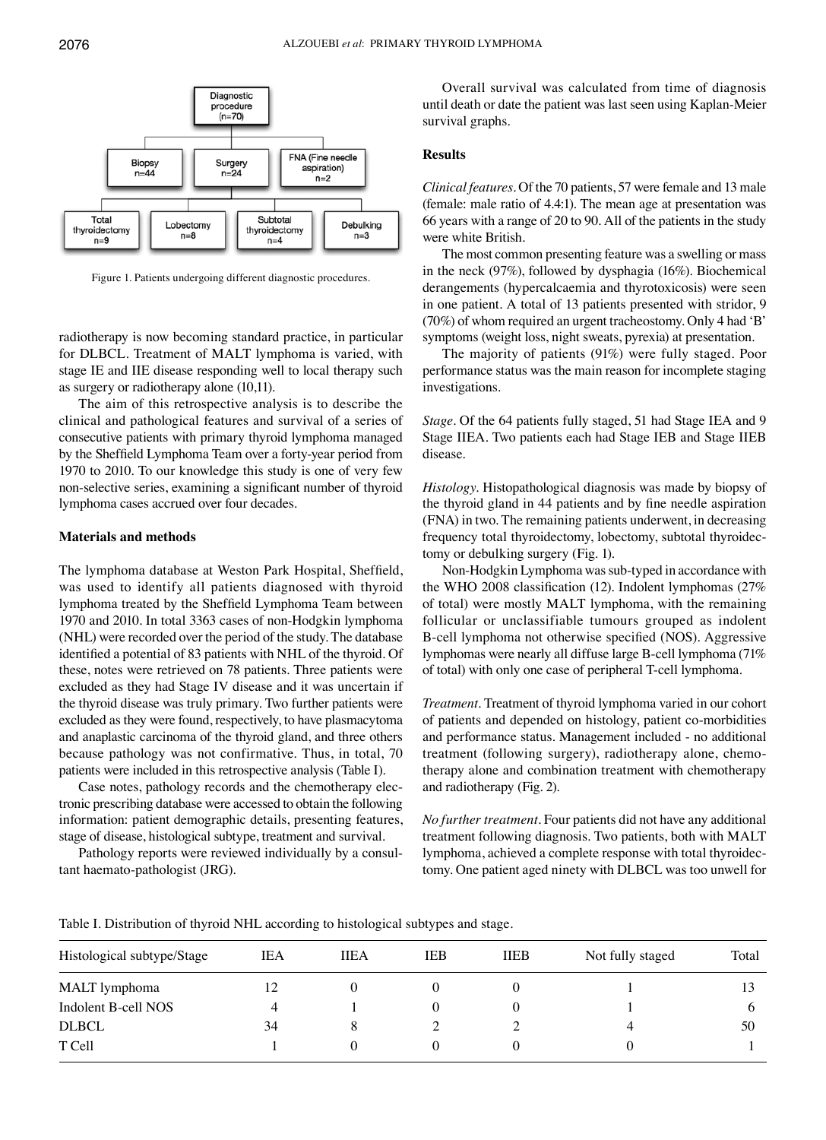

Figure 1. Patients undergoing different diagnostic procedures.

radiotherapy is now becoming standard practice, in particular for DLBCL. Treatment of MALT lymphoma is varied, with stage IE and IIE disease responding well to local therapy such as surgery or radiotherapy alone (10,11).

The aim of this retrospective analysis is to describe the clinical and pathological features and survival of a series of consecutive patients with primary thyroid lymphoma managed by the Sheffield Lymphoma Team over a forty-year period from 1970 to 2010. To our knowledge this study is one of very few non-selective series, examining a significant number of thyroid lymphoma cases accrued over four decades.

## **Materials and methods**

The lymphoma database at Weston Park Hospital, Sheffield, was used to identify all patients diagnosed with thyroid lymphoma treated by the Sheffield Lymphoma Team between 1970 and 2010. In total 3363 cases of non-Hodgkin lymphoma (NHL) were recorded over the period of the study. The database identified a potential of 83 patients with NHL of the thyroid. Of these, notes were retrieved on 78 patients. Three patients were excluded as they had Stage IV disease and it was uncertain if the thyroid disease was truly primary. Two further patients were excluded as they were found, respectively, to have plasmacytoma and anaplastic carcinoma of the thyroid gland, and three others because pathology was not confirmative. Thus, in total, 70 patients were included in this retrospective analysis (Table I).

Case notes, pathology records and the chemotherapy electronic prescribing database were accessed to obtain the following information: patient demographic details, presenting features, stage of disease, histological subtype, treatment and survival.

Pathology reports were reviewed individually by a consultant haemato-pathologist (JRG).

Overall survival was calculated from time of diagnosis until death or date the patient was last seen using Kaplan-Meier survival graphs.

## **Results**

*Clinical features.* Of the 70 patients, 57 were female and 13 male (female: male ratio of 4.4:1). The mean age at presentation was 66 years with a range of 20 to 90. All of the patients in the study were white British.

The most common presenting feature was a swelling or mass in the neck (97%), followed by dysphagia (16%). Biochemical derangements (hypercalcaemia and thyrotoxicosis) were seen in one patient. A total of 13 patients presented with stridor, 9 (70%) of whom required an urgent tracheostomy. Only 4 had 'B' symptoms (weight loss, night sweats, pyrexia) at presentation.

The majority of patients (91%) were fully staged. Poor performance status was the main reason for incomplete staging investigations.

*Stage.* Of the 64 patients fully staged, 51 had Stage IEA and 9 Stage IIEA. Two patients each had Stage IEB and Stage IIEB disease.

*Histology.* Histopathological diagnosis was made by biopsy of the thyroid gland in 44 patients and by fine needle aspiration (FNA) in two. The remaining patients underwent, in decreasing frequency total thyroidectomy, lobectomy, subtotal thyroidectomy or debulking surgery (Fig. 1).

Non-Hodgkin Lymphoma was sub-typed in accordance with the WHO 2008 classification (12). Indolent lymphomas (27% of total) were mostly MALT lymphoma, with the remaining follicular or unclassifiable tumours grouped as indolent B-cell lymphoma not otherwise specified (NOS). Aggressive lymphomas were nearly all diffuse large B-cell lymphoma (71% of total) with only one case of peripheral T-cell lymphoma.

*Treatment.* Treatment of thyroid lymphoma varied in our cohort of patients and depended on histology, patient co-morbidities and performance status. Management included - no additional treatment (following surgery), radiotherapy alone, chemotherapy alone and combination treatment with chemotherapy and radiotherapy (Fig. 2).

*No further treatment.* Four patients did not have any additional treatment following diagnosis. Two patients, both with MALT lymphoma, achieved a complete response with total thyroidectomy. One patient aged ninety with DLBCL was too unwell for

Table I. Distribution of thyroid NHL according to histological subtypes and stage.

| IEA | <b>IIEA</b> | IEB | <b>IIEB</b> | Not fully staged | Total |
|-----|-------------|-----|-------------|------------------|-------|
| 12  |             |     |             |                  |       |
| 4   |             |     |             |                  |       |
| 34  | 8           |     |             | 4                | 50    |
|     |             |     |             |                  |       |
|     |             |     |             |                  |       |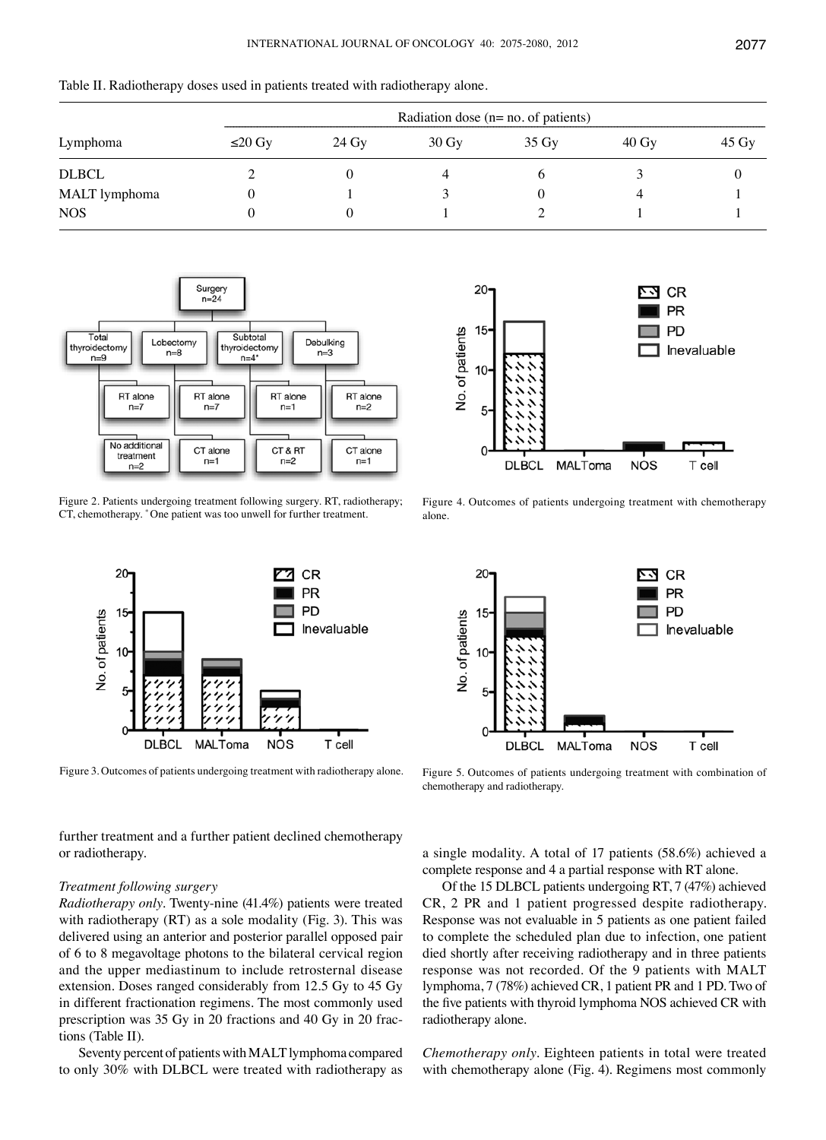| Table II. Radiotherapy doses used in patients treated with radiotherapy alone. |  |  |  |
|--------------------------------------------------------------------------------|--|--|--|
|--------------------------------------------------------------------------------|--|--|--|

|               | Radiation dose $(n=no. of patients)$ |       |                 |                    |                 |                    |  |
|---------------|--------------------------------------|-------|-----------------|--------------------|-----------------|--------------------|--|
| Lymphoma      | $≤20$ Gy                             | 24 Gy | $30 \text{ Gy}$ | $35 \,\mathrm{Gy}$ | $40 \text{ Gy}$ | $45 \,\mathrm{Gy}$ |  |
| <b>DLBCL</b>  |                                      |       |                 |                    |                 |                    |  |
| MALT lymphoma |                                      |       |                 |                    |                 |                    |  |
| <b>NOS</b>    |                                      | O     |                 |                    |                 |                    |  |



Figure 2. Patients undergoing treatment following surgery. RT, radiotherapy; CT, chemotherapy. \* One patient was too unwell for further treatment.



Figure 3. Outcomes of patients undergoing treatment with radiotherapy alone.

further treatment and a further patient declined chemotherapy or radiotherapy.

## *Treatment following surgery*

*Radiotherapy only.* Twenty-nine (41.4%) patients were treated with radiotherapy (RT) as a sole modality (Fig. 3). This was delivered using an anterior and posterior parallel opposed pair of 6 to 8 megavoltage photons to the bilateral cervical region and the upper mediastinum to include retrosternal disease extension. Doses ranged considerably from 12.5 Gy to 45 Gy in different fractionation regimens. The most commonly used prescription was 35 Gy in 20 fractions and 40 Gy in 20 fractions (Table II).

Seventy percent of patients with MALT lymphoma compared to only 30% with DLBCL were treated with radiotherapy as



Figure 4. Outcomes of patients undergoing treatment with chemotherapy alone.



Figure 5. Outcomes of patients undergoing treatment with combination of chemotherapy and radiotherapy.

a single modality. A total of 17 patients (58.6%) achieved a complete response and 4 a partial response with RT alone.

Of the 15 DLBCL patients undergoing RT, 7 (47%) achieved CR, 2 PR and 1 patient progressed despite radiotherapy. Response was not evaluable in 5 patients as one patient failed to complete the scheduled plan due to infection, one patient died shortly after receiving radiotherapy and in three patients response was not recorded. Of the 9 patients with MALT lymphoma, 7 (78%) achieved CR, 1 patient PR and 1 PD. Two of the five patients with thyroid lymphoma NOS achieved CR with radiotherapy alone.

*Chemotherapy only.* Eighteen patients in total were treated with chemotherapy alone (Fig. 4). Regimens most commonly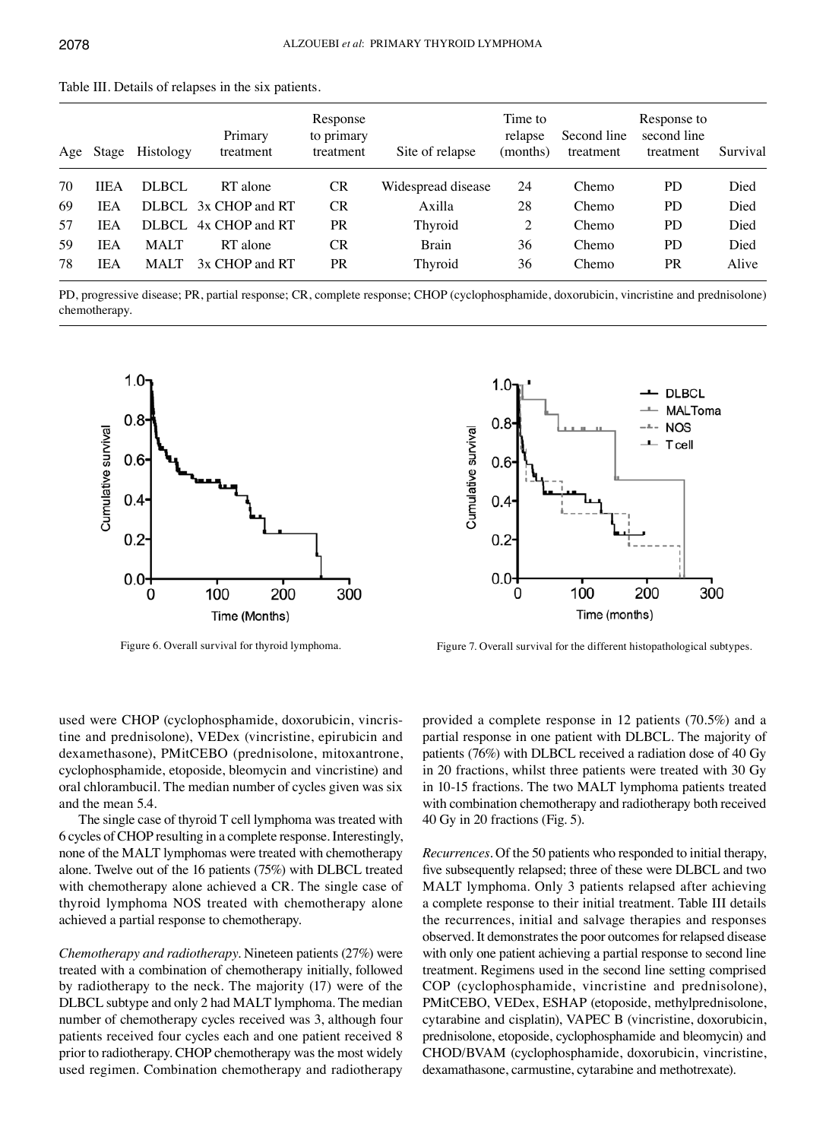|    |             | Age Stage Histology | Primary<br>treatment | Response<br>to primary<br>treatment | Site of relapse    | Time to<br>relapse<br>(months) | Second line<br>treatment | Response to<br>second line<br>treatment | Survival |
|----|-------------|---------------------|----------------------|-------------------------------------|--------------------|--------------------------------|--------------------------|-----------------------------------------|----------|
| 70 | <b>IIEA</b> | DLBCL               | RT alone             | <b>CR</b>                           | Widespread disease | 24                             | Chemo                    | <b>PD</b>                               | Died     |
| 69 | <b>IEA</b>  | DLBCL.              | 3x CHOP and RT       | <b>CR</b>                           | Axilla             | 28                             | Chemo                    | <b>PD</b>                               | Died     |
| 57 | IEA         | DLBCL               | 4x CHOP and RT       | PR                                  | Thyroid            | 2                              | Chemo                    | <b>PD</b>                               | Died     |
| 59 | IEA         | <b>MALT</b>         | RT alone             | CR                                  | <b>Brain</b>       | 36                             | Chemo                    | <b>PD</b>                               | Died     |
| 78 | IEA         | <b>MALT</b>         | 3x CHOP and RT       | PR                                  | Thyroid            | 36                             | Chemo                    | <b>PR</b>                               | Alive    |

Table III. Details of relapses in the six patients.

PD, progressive disease; PR, partial response; CR, complete response; CHOP (cyclophosphamide, doxorubicin, vincristine and prednisolone) chemotherapy.





Figure 6. Overall survival for thyroid lymphoma. Figure 7. Overall survival for the different histopathological subtypes.

used were CHOP (cyclophosphamide, doxorubicin, vincristine and prednisolone), VEDex (vincristine, epirubicin and dexamethasone), PMitCEBO (prednisolone, mitoxantrone, cyclophosphamide, etoposide, bleomycin and vincristine) and oral chlorambucil. The median number of cycles given was six and the mean 5.4.

The single case of thyroid T cell lymphoma was treated with 6 cycles of CHOP resulting in a complete response. Interestingly, none of the MALT lymphomas were treated with chemotherapy alone. Twelve out of the 16 patients (75%) with DLBCL treated with chemotherapy alone achieved a CR. The single case of thyroid lymphoma NOS treated with chemotherapy alone achieved a partial response to chemotherapy.

*Chemotherapy and radiotherapy.* Nineteen patients (27%) were treated with a combination of chemotherapy initially, followed by radiotherapy to the neck. The majority (17) were of the DLBCL subtype and only 2 had MALT lymphoma. The median number of chemotherapy cycles received was 3, although four patients received four cycles each and one patient received 8 prior to radiotherapy. CHOP chemotherapy was the most widely used regimen. Combination chemotherapy and radiotherapy

provided a complete response in 12 patients (70.5%) and a partial response in one patient with DLBCL. The majority of patients (76%) with DLBCL received a radiation dose of 40 Gy in 20 fractions, whilst three patients were treated with 30 Gy in 10-15 fractions. The two MALT lymphoma patients treated with combination chemotherapy and radiotherapy both received 40 Gy in 20 fractions (Fig. 5).

*Recurrences.* Of the 50 patients who responded to initial therapy, five subsequently relapsed; three of these were DLBCL and two MALT lymphoma. Only 3 patients relapsed after achieving a complete response to their initial treatment. Table III details the recurrences, initial and salvage therapies and responses observed. It demonstrates the poor outcomes for relapsed disease with only one patient achieving a partial response to second line treatment. Regimens used in the second line setting comprised COP (cyclophosphamide, vincristine and prednisolone), PMitCEBO, VEDex, ESHAP (etoposide, methylprednisolone, cytarabine and cisplatin), VAPEC B (vincristine, doxorubicin, prednisolone, etoposide, cyclophosphamide and bleomycin) and CHOD/BVAM (cyclophosphamide, doxorubicin, vincristine, dexamathasone, carmustine, cytarabine and methotrexate).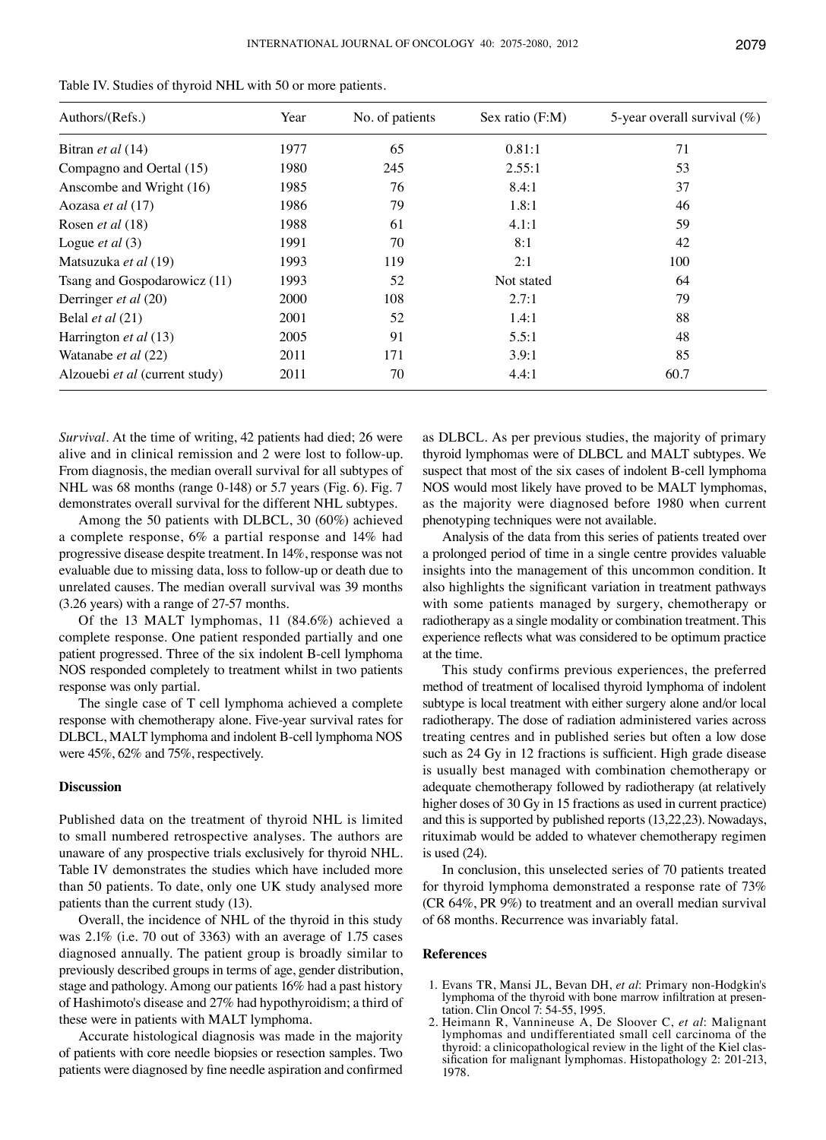| Table IV. Studies of thyroid NHL with 50 or more patients. |  |
|------------------------------------------------------------|--|
|------------------------------------------------------------|--|

| Authors/(Refs.)                | Year | No. of patients | Sex ratio (F:M) | 5-year overall survival $(\%)$ |
|--------------------------------|------|-----------------|-----------------|--------------------------------|
| Bitran et al (14)              | 1977 | 65              | 0.81:1          | 71                             |
| Compagno and Oertal (15)       | 1980 | 245             | 2.55:1          | 53                             |
| Anscombe and Wright (16)       | 1985 | 76              | 8.4:1           | 37                             |
| Aozasa et al (17)              | 1986 | 79              | 1.8:1           | 46                             |
| Rosen <i>et al</i> (18)        | 1988 | 61              | 4.1:1           | 59                             |
| Logue <i>et al</i> $(3)$       | 1991 | 70              | 8:1             | 42                             |
| Matsuzuka et al (19)           | 1993 | 119             | 2:1             | 100                            |
| Tsang and Gospodarowicz (11)   | 1993 | 52              | Not stated      | 64                             |
| Derringer et al (20)           | 2000 | 108             | 2.7:1           | 79                             |
| Belal <i>et al</i> $(21)$      | 2001 | 52              | 1.4:1           | 88                             |
| Harrington et al (13)          | 2005 | 91              | 5.5:1           | 48                             |
| Watanabe et al (22)            | 2011 | 171             | 3.9:1           | 85                             |
| Alzouebi et al (current study) | 2011 | 70              | 4.4:1           | 60.7                           |

*Survival.* At the time of writing, 42 patients had died; 26 were alive and in clinical remission and 2 were lost to follow-up. From diagnosis, the median overall survival for all subtypes of NHL was 68 months (range 0-148) or 5.7 years (Fig. 6). Fig. 7 demonstrates overall survival for the different NHL subtypes.

Among the 50 patients with DLBCL, 30 (60%) achieved a complete response, 6% a partial response and 14% had progressive disease despite treatment. In 14%, response was not evaluable due to missing data, loss to follow-up or death due to unrelated causes. The median overall survival was 39 months (3.26 years) with a range of 27-57 months.

Of the 13 MALT lymphomas, 11 (84.6%) achieved a complete response. One patient responded partially and one patient progressed. Three of the six indolent B-cell lymphoma NOS responded completely to treatment whilst in two patients response was only partial.

The single case of T cell lymphoma achieved a complete response with chemotherapy alone. Five-year survival rates for DLBCL, MALT lymphoma and indolent B-cell lymphoma NOS were 45%, 62% and 75%, respectively.

## **Discussion**

Published data on the treatment of thyroid NHL is limited to small numbered retrospective analyses. The authors are unaware of any prospective trials exclusively for thyroid NHL. Table IV demonstrates the studies which have included more than 50 patients. To date, only one UK study analysed more patients than the current study (13).

Overall, the incidence of NHL of the thyroid in this study was 2.1% (i.e. 70 out of 3363) with an average of 1.75 cases diagnosed annually. The patient group is broadly similar to previously described groups in terms of age, gender distribution, stage and pathology. Among our patients 16% had a past history of Hashimoto's disease and 27% had hypothyroidism; a third of these were in patients with MALT lymphoma.

Accurate histological diagnosis was made in the majority of patients with core needle biopsies or resection samples. Two patients were diagnosed by fine needle aspiration and confirmed as DLBCL. As per previous studies, the majority of primary thyroid lymphomas were of DLBCL and MALT subtypes. We suspect that most of the six cases of indolent B-cell lymphoma NOS would most likely have proved to be MALT lymphomas, as the majority were diagnosed before 1980 when current phenotyping techniques were not available.

Analysis of the data from this series of patients treated over a prolonged period of time in a single centre provides valuable insights into the management of this uncommon condition. It also highlights the significant variation in treatment pathways with some patients managed by surgery, chemotherapy or radiotherapy as a single modality or combination treatment. This experience reflects what was considered to be optimum practice at the time.

This study confirms previous experiences, the preferred method of treatment of localised thyroid lymphoma of indolent subtype is local treatment with either surgery alone and/or local radiotherapy. The dose of radiation administered varies across treating centres and in published series but often a low dose such as 24 Gy in 12 fractions is sufficient. High grade disease is usually best managed with combination chemotherapy or adequate chemotherapy followed by radiotherapy (at relatively higher doses of 30 Gy in 15 fractions as used in current practice) and this is supported by published reports (13,22,23). Nowadays, rituximab would be added to whatever chemotherapy regimen is used (24).

In conclusion, this unselected series of 70 patients treated for thyroid lymphoma demonstrated a response rate of 73% (CR 64%, PR 9%) to treatment and an overall median survival of 68 months. Recurrence was invariably fatal.

## **References**

- 1. Evans TR, Mansi JL, Bevan DH, *et al*: Primary non-Hodgkin's lymphoma of the thyroid with bone marrow infiltration at presentation. Clin Oncol 7: 54-55, 1995.
- 2. Heimann R, Vannineuse A, De Sloover C, *et al*: Malignant lymphomas and undifferentiated small cell carcinoma of the sification for malignant lymphomas. Histopathology 2: 201-213, 1978.